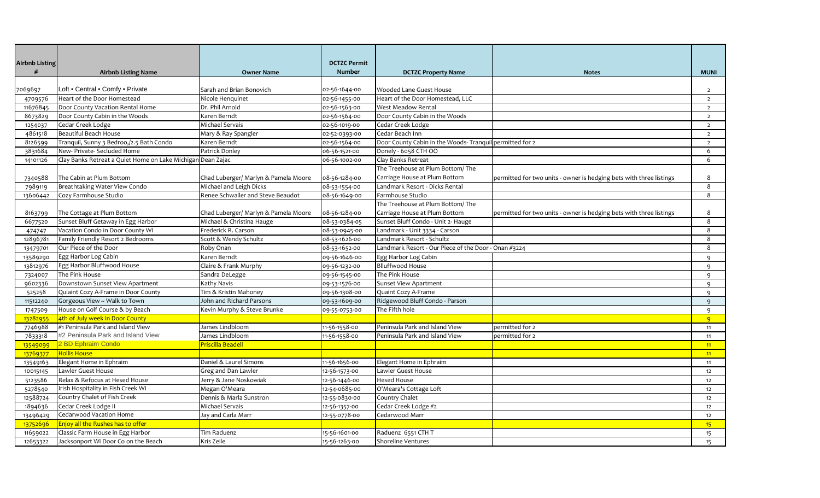| <b>Airbnb Listing</b> |                                                             |                                      | <b>DCTZC Permit</b> |                                                         |                                                                     |                 |
|-----------------------|-------------------------------------------------------------|--------------------------------------|---------------------|---------------------------------------------------------|---------------------------------------------------------------------|-----------------|
| #                     | <b>Airbnb Listing Name</b>                                  | <b>Owner Name</b>                    | <b>Number</b>       | <b>DCTZC Property Name</b>                              | <b>Notes</b>                                                        | <b>MUNI</b>     |
|                       |                                                             |                                      |                     |                                                         |                                                                     |                 |
| 069697                | Loft • Central • Comfy • Private                            | Sarah and Brian Bonovich             | 02-56-1644-00       | Wooded Lane Guest House                                 |                                                                     | $\overline{2}$  |
| 4709576               | Heart of the Door Homestead                                 | Nicole Henquinet                     | 02-56-1455-00       | Heart of the Door Homestead, LLC                        |                                                                     | $\overline{2}$  |
| 11676845              | Door County Vacation Rental Home                            | Dr. Phil Arnold                      | 02-56-1563-00       | West Meadow Rental                                      |                                                                     | $\overline{2}$  |
| 8673829               | Door County Cabin in the Woods                              | Karen Berndt                         | 02-56-1564-00       | Door County Cabin in the Woods                          |                                                                     | $\overline{2}$  |
| 1254037               | Cedar Creek Lodge                                           | Michael Servais                      | 02-56-1019-00       | Cedar Creek Lodge                                       |                                                                     | $\overline{2}$  |
| 4861518               | <b>Beautiful Beach House</b>                                | Mary & Ray Spangler                  | 02-52-0393-00       | Cedar Beach Inn                                         |                                                                     | $\overline{2}$  |
| 8126599               | Tranquil, Sunny 3 Bedroo,/2.5 Bath Condo                    | Karen Berndt                         | 02-56-1564-00       | Door County Cabin in the Woods-Tranquil permitted for 2 |                                                                     | $\overline{2}$  |
| 3831684               | New- Private- Secluded Home                                 | Patrick Donley                       | 06-56-1521-00       | Donely - 6058 CTH OO                                    |                                                                     | 6               |
| 14101126              | Clay Banks Retreat a Quiet Home on Lake Michigan Dean Zajac |                                      | 06-56-1002-00       | Clay Banks Retreat                                      |                                                                     | 6               |
|                       |                                                             |                                      |                     | The Treehouse at Plum Bottom/The                        |                                                                     |                 |
| 7340588               | The Cabin at Plum Bottom                                    | Chad Luberger/ Marlyn & Pamela Moore | 08-56-1284-00       | Carriage House at Plum Bottom                           | permitted for two units - owner is hedging bets with three listings | 8               |
| 7989119               | Breathtaking Water View Condo                               | Michael and Leigh Dicks              | 08-53-1554-00       | Landmark Resort - Dicks Rental                          |                                                                     | 8               |
| 13606442              | Cozy Farmhouse Studio                                       | Renee Schwaller and Steve Beaudot    | 08-56-1649-00       | Farmhouse Studio                                        |                                                                     | 8               |
|                       |                                                             |                                      |                     | The Treehouse at Plum Bottom/The                        |                                                                     |                 |
| 8163799               | The Cottage at Plum Bottom                                  | Chad Luberger/ Marlyn & Pamela Moore | 08-56-1284-00       | Carriage House at Plum Bottom                           | permitted for two units - owner is hedging bets with three listings | 8               |
| 6677520               | Sunset Bluff Getaway in Egg Harbor                          | Michael & Christina Hauge            | 08-53-0384-05       | Sunset Bluff Condo - Unit 2- Hauge                      |                                                                     | 8               |
| 474747                | Vacation Condo in Door County WI                            | Frederick R. Carson                  | 08-53-0945-00       | Landmark - Unit 3334 - Carson                           |                                                                     | 8               |
| 12896781              | Family Friendly Resort 2 Bedrooms                           | Scott & Wendy Schultz                | 08-53-1626-00       | Landmark Resort - Schultz                               |                                                                     | 8               |
| 13479701              | Our Piece of the Door                                       | Roby Onan                            | 08-53-1652-00       | Landmark Resort - Our Piece of the Door - Onan #3224    |                                                                     | 8               |
| 13589290              | Egg Harbor Log Cabin                                        | Karen Berndt                         | 09-56-1646-00       | Egg Harbor Log Cabin                                    |                                                                     | 9               |
| 13812976              | Egg Harbor Bluffwood House                                  | Claire & Frank Murphy                | 09-56-1232-00       | <b>Blluffwood House</b>                                 |                                                                     | 9               |
| 7324007               | The Pink House                                              | Sandra DeLegge                       | 09-56-1545-00       | The Pink House                                          |                                                                     | 9               |
| 9602336               | Downstown Sunset View Apartment                             | Kathy Navis                          | 09-53-1576-00       | <b>Sunset View Apartment</b>                            |                                                                     | $\mathsf{q}$    |
| 525258                | Quiaint Cozy A-Frame in Door County                         | Tim & Kristin Mahoney                | 09-56-1308-00       | Quaint Cozy A-Frame                                     |                                                                     | 9               |
| 11512240              | Gorgeous View ~ Walk to Town                                | John and Richard Parsons             | 09-53-1609-00       | Ridgewood Bluff Condo - Parson                          |                                                                     | $\mathbf{q}$    |
| 1747509               | House on Golf Course & by Beach                             | Kevin Murphy & Steve Brunke          | 09-55-0753-00       | The Fifth hole                                          |                                                                     | 9               |
| 13282955              | 4th of July week in Door County                             |                                      |                     |                                                         |                                                                     | $\overline{9}$  |
| 7746988               | #1 Peninsula Park and Island View                           | James Lindbloom                      | 11-56-1558-00       | Peninsula Park and Island View                          | permitted for 2                                                     | 11              |
| 7833318               | #2 Peninsula Park and Island View                           | James Lindbloom                      | 11-56-1558-00       | Peninsula Park and Island View                          | permitted for 2                                                     | 11              |
| 13549099              | 2 BD Ephraim Condo                                          | Priscilla Beadell                    |                     |                                                         |                                                                     | 11              |
| 13769377              | <b>Hollis House</b>                                         |                                      |                     |                                                         |                                                                     | 11              |
| 13549163              | Elegant Home in Ephraim                                     | Daniel & Laurel Simons               | 11-56-1656-00       | Elegant Home in Ephraim                                 |                                                                     | 11              |
| 10015145              | Lawler Guest House                                          | Greg and Dan Lawler                  | 12-56-1573-00       | Lawler Guest House                                      |                                                                     | 12              |
| 5123586               | Relax & Refocus at Hesed House                              | Jerry & Jane Noskowiak               | 12-56-1446-00       | <b>Hesed House</b>                                      |                                                                     | 12              |
| 5278540               | Irish Hospitality in Fish Creek WI                          | Megan O'Meara                        | 12-54-0685-00       | O'Meara's Cottage Loft                                  |                                                                     | 12              |
| 12588724              | Country Chalet of Fish Creek                                | Dennis & Marla Sunstron              | 12-55-0830-00       | <b>Country Chalet</b>                                   |                                                                     | 12              |
| 1894636               | Cedar Creek Lodge II                                        | Michael Servais                      | 12-56-1357-00       | Cedar Creek Lodge #2                                    |                                                                     | 12              |
| 13496429              | Cedarwood Vacation Home                                     | Jay and Carla Marr                   | 12-55-0778-00       | Cedarwood Marr                                          |                                                                     | 12              |
| 13752696              | Enjoy all the Rushes has to offer                           |                                      |                     |                                                         |                                                                     | 15 <sup>2</sup> |
| 11659022              | Classic Farm House in Egg Harbor                            | Tim Raduenz                          | 15-56-1601-00       | Raduenz 6551 CTH T                                      |                                                                     | 15              |
| 12653322              | Jacksonport Wi Door Co on the Beach                         | Kris Zeile                           | 15-56-1263-00       | <b>Shoreline Ventures</b>                               |                                                                     | 15              |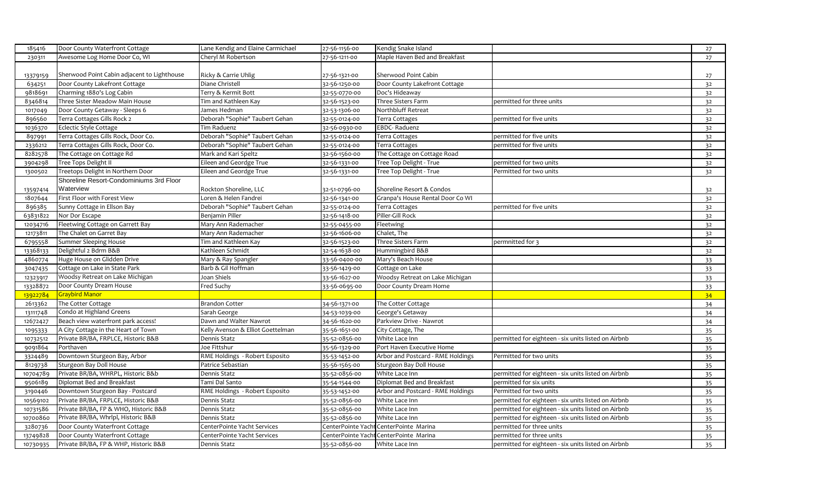| 185416   | Door County Waterfront Cottage              | Lane Kendig and Elaine Carmichael | 27-56-1156-00 | Kendig Snake Island                    |                                                     | 27             |
|----------|---------------------------------------------|-----------------------------------|---------------|----------------------------------------|-----------------------------------------------------|----------------|
| 230311   | Awesome Log Home Door Co, WI                | Cheryl M Robertson                | 27-56-1211-00 | Maple Haven Bed and Breakfast          |                                                     | 27             |
|          |                                             |                                   |               |                                        |                                                     |                |
| 13379159 | Sherwood Point Cabin adjacent to Lighthouse | Ricky & Carrie Uhlig              | 27-56-1321-00 | Sherwood Point Cabin                   |                                                     | 27             |
| 634251   | Door County Lakefront Cottage               | Diane Christell                   | 32-56-1250-00 | Door County Lakefront Cottage          |                                                     | 32             |
| 9818691  | Charming 1880's Log Cabin                   | Terry & Kermit Bott               | 32-55-0770-00 | Doc's Hideaway                         |                                                     | 32             |
| 8346814  | Three Sister Meadow Main House              | Tim and Kathleen Kay              | 32-56-1523-00 | Three Sisters Farm                     | permitted for three units                           | 3 <sup>2</sup> |
| 1017049  | Door County Getaway - Sleeps 6              | James Hedman                      | 32-53-1306-00 | Northbluff Retreat                     |                                                     | 32             |
| 896560   | Terra Cottages Gills Rock 2                 | Deborah "Sophie" Taubert Gehan    | 32-55-0124-00 | Terra Cottages                         | permitted for five units                            | 32             |
| 1036370  | Eclectic Style Cottage                      | Tim Raduenz                       | 32-56-0930-00 | EBDC-Raduenz                           |                                                     | 32             |
| 897991   | Terra Cottages Gills Rock, Door Co.         | Deborah "Sophie" Taubert Gehan    | 32-55-0124-00 | Terra Cottages                         | permitted for five units                            | 32             |
| 2336212  | Terra Cottages Gills Rock, Door Co.         | Deborah "Sophie" Taubert Gehan    | 32-55-0124-00 | Terra Cottages                         | permitted for five units                            | 32             |
| 8282578  | The Cottage on Cottage Rd                   | Mark and Kari Speltz              | 32-56-1560-00 | The Cottage on Cottage Road            |                                                     | 3 <sup>2</sup> |
| 3904298  | Tree Tops Delight II                        | Eileen and Geordge True           | 32-56-1331-00 | Tree Top Delight - True                | permitted for two units                             | 32             |
| 1300502  | Treetops Delight in Northern Door           | Eileen and Geordge True           | 32-56-1331-00 | Tree Top Delight - True                | Permitted for two units                             | 32             |
|          | Shoreline Resort-Condominiums 3rd Floor     |                                   |               |                                        |                                                     |                |
| 13597414 | Waterview                                   | Rockton Shoreline, LLC            | 32-51-0796-00 | Shoreline Resort & Condos              |                                                     | 32             |
| 1807644  | First Floor with Forest View                | Loren & Helen Fandrei             | 32-56-1341-00 | Granpa's House Rental Door Co WI       |                                                     | 32             |
| 896385   | Sunny Cottage in Ellson Bay                 | Deborah "Sophie" Taubert Gehan    | 32-55-0124-00 | Terra Cottages                         | permitted for five units                            | 32             |
| 63831822 | Nor Dor Escape                              | Benjamin Piller                   | 32-56-1418-00 | Piller-Gill Rock                       |                                                     | 32             |
| 12034716 | Fleetwing Cottage on Garrett Bay            | Mary Ann Rademacher               | 32-55-0455-00 | Fleetwing                              |                                                     | 32             |
| 12173811 | The Chalet on Garret Bay                    | Mary Ann Rademacher               | 32-56-1606-00 | Chalet, The                            |                                                     | 32             |
| 6795558  | <b>Summer Sleeping House</b>                | Tim and Kathleen Kay              | 32-56-1523-00 | Three Sisters Farm                     | permnitted for 3                                    | 32             |
| 13368133 | Delightful 2 Bdrm B&B                       | Kathleen Schmidt                  | 32-54-1638-00 | Hummingbird B&B                        |                                                     | 32             |
| 4860774  | Huge House on Glidden Drive                 | Mary & Ray Spangler               | 33-56-0400-00 | Mary's Beach House                     |                                                     | 33             |
| 3047435  | Cottage on Lake in State Park               | Barb & Gil Hoffman                | 33-56-1429-00 | Cottage on Lake                        |                                                     | 33             |
| 12323917 | Woodsy Retreat on Lake Michigan             | Joan Shiels                       | 33-56-1627-00 | Woodsy Retreat on Lake Michigan        |                                                     | 33             |
| 13328872 | Door County Dream House                     | Fred Suchy                        | 33-56-0695-00 | Door County Dream Home                 |                                                     | 33             |
| 13922784 | <b>Graybird Manor</b>                       |                                   |               |                                        |                                                     | 34             |
| 2613362  | The Cotter Cottage                          | <b>Brandon Cotter</b>             | 34-56-1371-00 | The Cotter Cottage                     |                                                     | 34             |
| 13111748 | Condo at Highland Greens                    | Sarah George                      | 34-53-1039-00 | George's Getaway                       |                                                     | 34             |
| 12672427 | Beach view waterfront park access!          | Dawn and Walter Nawrot            | 34-56-1620-00 | Parkview Drive - Nawrot                |                                                     | 34             |
| 1095333  | A City Cottage in the Heart of Town         | Kelly Avenson & Elliot Goettelman | 35-56-1651-00 | City Cottage, The                      |                                                     | 35             |
| 10732512 | Private BR/BA, FRPLCE, Historic B&B         | Dennis Statz                      | 35-52-0856-00 | White Lace Inn                         | permitted for eighteen - six units listed on Airbnb | 35             |
| 9091864  | Porthaven                                   | Joe Fittshur                      | 35-56-1329-00 | Port Haven Executive Home              |                                                     | 35             |
| 3324489  | Downtown Sturgeon Bay, Arbor                | RME Holdings - Robert Esposito    | 35-53-1452-00 | Arbor and Postcard - RME Holdings      | Permitted for two units                             | 35             |
| 8129738  | Sturgeon Bay Doll House                     | Patrice Sebastian                 | 35-56-1565-00 | Sturgeon Bay Doll House                |                                                     | 35             |
| 10704789 | Private BR/BA, WHRPL, Historic B&b          | Dennis Statz                      | 35-52-0856-00 | White Lace Inn                         | permitted for eighteen - six units listed on Airbnb | 35             |
| 9506189  | Diplomat Bed and Breakfast                  | Tami Dal Santo                    | 35-54-1544-00 | Diplomat Bed and Breakfast             | permitted for six units                             | 35             |
| 3190446  | Downtown Sturgeon Bay - Postcard            | RME Holdings - Robert Esposito    | 35-53-1452-00 | Arbor and Postcard - RME Holdings      | Permitted for two units                             | 35             |
| 10569102 | Private BR/BA, FRPLCE, Historic B&B         | Dennis Statz                      | 35-52-0856-00 | White Lace Inn                         | permitted for eighteen - six units listed on Airbnb | 35             |
| 10731586 | Private BR/BA, FP & WHO, Historic B&B       | Dennis Statz                      | 35-52-0856-00 | White Lace Inn                         | permitted for eighteen - six units listed on Airbnb | 35             |
| 10700860 | Private BR/BA, Whrlpl, Historic B&B         | Dennis Statz                      | 35-52-0856-00 | White Lace Inn                         | permitted for eighteen - six units listed on Airbnb | 35             |
| 3280736  | Door County Waterfront Cottage              | CenterPointe Yacht Services       |               | CenterPointe Yacht CenterPointe Marina | permitted for three units                           | 35             |
| 13749828 | Door County Waterfront Cottage              | CenterPointe Yacht Services       |               | CenterPointe Yacht CenterPointe Marina | permitted for three units                           | 35             |
| 10730935 | Private BR/BA, FP & WHP, Historic B&B       | Dennis Statz                      | 35-52-0856-00 | White Lace Inn                         | permitted for eighteen - six units listed on Airbnb | 35             |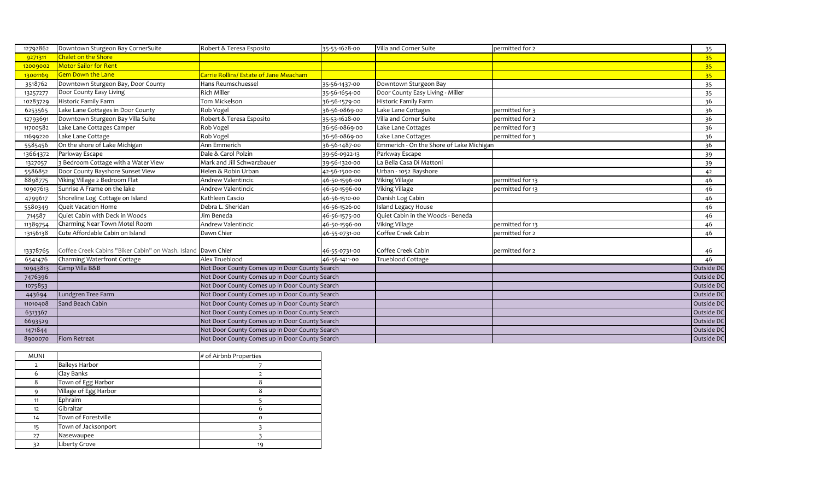| 12792862 | Downtown Sturgeon Bay CornerSuite                            | Robert & Teresa Esposito                       | 35-53-1628-00                                  | Villa and Corner Suite                   | permitted for 2  | 35              |
|----------|--------------------------------------------------------------|------------------------------------------------|------------------------------------------------|------------------------------------------|------------------|-----------------|
| 9271311  | <b>Chalet on the Shore</b>                                   |                                                |                                                |                                          |                  | 35 <sup>2</sup> |
| 12009002 | <b>Motor Sailor for Rent</b>                                 |                                                |                                                |                                          |                  | 35 <sub>2</sub> |
| 13001169 | <b>Gem Down the Lane</b>                                     | Carrie Rollins/ Estate of Jane Meacham         |                                                |                                          |                  | 35 <sub>1</sub> |
| 3518762  | Downtown Sturgeon Bay, Door County                           | Hans Reumschuessel                             | 35-56-1437-00                                  | Downtown Sturgeon Bay                    |                  | 35              |
| 13257277 | Door County Easy Living                                      | Rich Miller                                    | 35-56-1654-00                                  | Door County Easy Living - Miller         |                  | 35              |
| 10283729 | <b>Historic Family Farm</b>                                  | Tom Mickelson                                  | 36-56-1579-00                                  | Historic Family Farm                     |                  | 36              |
| 6253565  | Lake Lane Cottages in Door County                            | Rob Vogel                                      | 36-56-0869-00                                  | Lake Lane Cottages                       | permitted for 3  | 36              |
| 12793691 | Downtown Sturgeon Bay Villa Suite                            | Robert & Teresa Esposito                       | 35-53-1628-00                                  | Villa and Corner Suite                   | permitted for 2  | 36              |
| 11700582 | Lake Lane Cottages Camper                                    | Rob Vogel                                      | 36-56-0869-00                                  | Lake Lane Cottages                       | permitted for 3  | 36              |
| 11699220 | Lake Lane Cottage                                            | Rob Vogel                                      | 36-56-0869-00                                  | Lake Lane Cottages                       | permitted for 3  | 36              |
| 5585456  | On the shore of Lake Michigan                                | Ann Emmerich                                   | 36-56-1487-00                                  | Emmerich - On the Shore of Lake Michigan |                  | 36              |
| 13664372 | Parkway Escape                                               | Dale & Carol Polzin                            | 39-56-0922-13                                  | Parkway Escape                           |                  | 39              |
| 1327057  | 3 Bedroom Cottage with a Water View                          | Mark and Jill Schwarzbauer                     | 39-56-1320-00                                  | La Bella Casa Di Mattoni                 |                  | 39              |
| 5586852  | Door County Bayshore Sunset View                             | Helen & Robin Urban                            | 42-56-1500-00                                  | Urban - 1052 Bayshore                    |                  | 42              |
| 8898775  | Viking Village 2 Bedroom Flat                                | Andrew Valentincic                             | 46-50-1596-00                                  | <b>Viking Village</b>                    | permitted for 13 | 46              |
| 10907613 | Sunrise A Frame on the lake                                  | Andrew Valentincic                             | 46-50-1596-00                                  | Viking Village                           | permitted for 13 | 46              |
| 4799617  | Shoreline Log Cottage on Island                              | Kathleen Cascio                                | 46-56-1510-00                                  | Danish Log Cabin                         |                  | 46              |
| 5580349  | Queit Vacation Home                                          | Debra L. Sheridan                              | 46-56-1526-00                                  | <b>Island Legacy House</b>               |                  | 46              |
| 714587   | Quiet Cabin with Deck in Woods                               | Jim Beneda                                     | 46-56-1575-00                                  | Quiet Cabin in the Woods - Beneda        |                  | 46              |
| 11389754 | Charming Near Town Motel Room                                | Andrew Valentincic                             | 46-50-1596-00                                  | <b>Viking Village</b>                    | permitted for 13 | 46              |
| 13156138 | Cute Affordable Cabin on Island                              | Dawn Chier                                     | 46-55-0731-00                                  | Coffee Creek Cabin                       | permitted for 2  | 46              |
|          |                                                              |                                                |                                                |                                          |                  |                 |
| 13378765 | Coffee Creek Cabins "Biker Cabin" on Wash. Island Dawn Chier |                                                | 46-55-0731-00                                  | Coffee Creek Cabin                       | permitted for 2  | 46              |
| 6541476  | Charming Waterfront Cottage                                  | Alex Trueblood                                 | 46-56-1411-00                                  | Trueblood Cottage                        |                  | 46              |
| 10943813 | Camp Villa B&B                                               | Not Door County Comes up in Door County Search |                                                |                                          |                  | Outside DC      |
| 7476396  |                                                              | Not Door County Comes up in Door County Search |                                                |                                          |                  | Outside DC      |
| 1075853  |                                                              | Not Door County Comes up in Door County Search |                                                |                                          |                  | Outside DO      |
| 443694   | Lundgren Tree Farm                                           | Not Door County Comes up in Door County Search |                                                |                                          |                  | Outside DC      |
| 11010408 | Sand Beach Cabin                                             | Not Door County Comes up in Door County Search |                                                |                                          |                  | Outside DC      |
| 6313367  |                                                              | Not Door County Comes up in Door County Search |                                                |                                          |                  | Outside DO      |
| 6693529  |                                                              |                                                | Not Door County Comes up in Door County Search |                                          |                  | Outside DC      |
| 1471844  |                                                              | Not Door County Comes up in Door County Search |                                                |                                          |                  | Outside DC      |
| 8900070  | Flom Retreat                                                 | Not Door County Comes up in Door County Search |                                                |                                          |                  | Outside DC      |

| <b>MUNI</b> |                       | # of Airbnb Properties |
|-------------|-----------------------|------------------------|
|             | <b>Baileys Harbor</b> |                        |
| 6           | Clay Banks            |                        |
| 8           | Town of Egg Harbor    | o                      |
|             | Village of Egg Harbor |                        |
| 11          | Ephraim               |                        |
| 12          | Gibraltar             |                        |
| 14          | Town of Forestville   |                        |
| 15          | Town of Jacksonport   |                        |
| 27          | Nasewaupee            |                        |
| 32          | Liberty Grove         | 19                     |